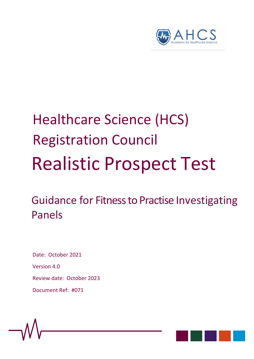

# Healthcare Science (HCS) Registration Council Realistic Prospect Test

Guidance for Fitness to Practise Investigating Panels

Date: October 2021 Version 4.0 Review date: October 2023 Document Ref: #071

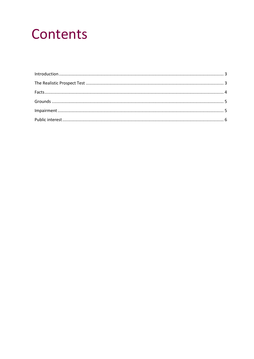# Contents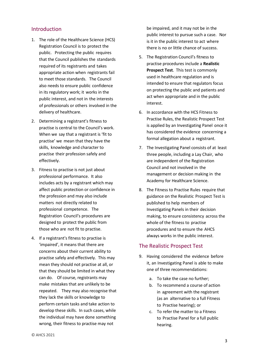#### <span id="page-2-0"></span>Introduction

- 1. The role of the Healthcare Science (HCS) Registration Council is to protect the public. Protecting the public requires that the Council publishes the standards required of its registrants and takes appropriate action when registrants fail to meet those standards. The Council also needs to ensure public confidence in its regulatory work; it works in the public interest, and not in the interests of professionals or others involved in the delivery of healthcare.
- 2. Determining a registrant's fitness to practise is central to the Council's work. When we say that a registrant is 'fit to practise' we mean that they have the skills, knowledge and character to practise their profession safely and effectively.
- 3. Fitness to practise is not just about professional performance. It also includes acts by a registrant which may affect public protection or confidence in the profession and may also include matters not directly related to professional competence. The Registration Council's procedures are designed to protect the public from those who are not fit to practise.
- 4. If a registrant's fitness to practise is 'impaired', it means that there are concerns about their current ability to practise safely and effectively. This may mean they should not practise at all, or that they should be limited in what they can do. Of course, registrants may make mistakes that are unlikely to be repeated. They may also recognise that they lack the skills or knowledge to perform certain tasks and take action to develop these skills. In such cases, while the individual may have done something wrong, their fitness to practise may not

be impaired, and it may not be in the public interest to pursue such a case. Nor is it in the public interest to act where there is no or little chance of success.

- 5. The Registration Council's fitness to practise procedures include a **Realistic Prospect Test**. This test is commonly used in healthcare regulation and is intended to ensure that regulators focus on protecting the public and patients and act when appropriate and in the public interest.
- 6. In accordance with the HCS Fitness to Practise Rules, the Realistic Prospect Test is applied by an Investigating Panel once it has considered the evidence concerning a formal allegation about a registrant.
- 7. The Investigating Panel consists of at least three people, including a Lay Chair, who are independent of the Registration Council and not involved in the management or decision making in the Academy for Healthcare Science.
- 8. The Fitness to Practise Rules require that guidance on the Realistic Prospect Test is published to help members of Investigating Panels in their decision making, to ensure consistency across the whole of the fitness to practise procedures and to ensure the AHCS always works in the public interest.

## <span id="page-2-1"></span>The Realistic Prospect Test

- 9. Having considered the evidence before it, an Investigating Panel is able to make one of three recommendations:
	- a. To take the case no further;
	- b. To recommend a course of action in agreement with the registrant (as an alternative to a full Fitness to Practise hearing); or
	- c. To refer the matter to a Fitness to Practise Panel for a full public hearing.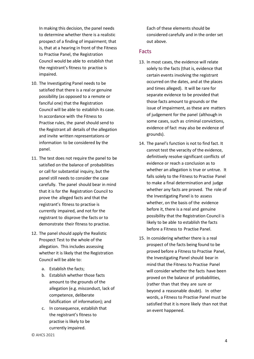In making this decision, the panel needs to determine whether there is a realistic prospect of a finding of impairment; that is, that at a hearing in front of the Fitness to Practise Panel, the Registration Council would be able to establish that the registrant's fitness to practise is impaired.

- 10. The Investigating Panel needs to be satisfied that there is a real or genuine possibility (as opposed to a remote or fanciful one) that the Registration Council will be able to establish its case. In accordance with the Fitness to Practise rules, the panel should send to the Registrant all details of the allegation and invite written representations or information to be considered by the panel.
- 11. The test does not require the panel to be satisfied on the balance of probabilities or call for substantial inquiry, but the panel still needs to consider the case carefully. The panel should bear in mind that it is for the Registration Council to prove the alleged facts and that the registrant's fitness to practise is currently impaired, and not for the registrant to disprove the facts or to demonstrate their fitness to practise.
- 12. The panel should apply the Realistic Prospect Test to the whole of the allegation. This includes assessing whether it is likely that the Registration Council will be able to:
	- a. Establish the facts;
	- b. Establish whether those facts amount to the grounds of the allegation (e.g. misconduct, lack of competence, deliberate falsification of information); and
	- c. In consequence, establish that the registrant's fitness to practise is likely to be currently impaired.

Each of these elements should be considered carefully and in the order set out above.

#### <span id="page-3-0"></span>Facts

- 13. In most cases, the evidence will relate solely to the facts (that is, evidence that certain events involving the registrant occurred on the dates, and at the places and times alleged). It will be rare for separate evidence to be provided that those facts amount to grounds or the issue of impairment, as these are matters of judgement for the panel (although in some cases, such as criminal convictions, evidence of fact may also be evidence of grounds).
- 14. The panel's function is not to find fact. It cannot test the veracity of the evidence, definitively resolve significant conflicts of evidence or reach a conclusion as to whether an allegation is true or untrue. It falls solely to the Fitness to Practise Panel to make a final determination and judge whether any facts are proved. The role of the Investigating Panel is to assess whether, on the basis of the evidence before it, there is a real and genuine possibility that the Registration Council is likely to be able to establish the facts before a Fitness to Practise Panel.
- 15. In considering whether there is a real prospect of the facts being found to be proved before a Fitness to Practise Panel, the Investigating Panel should bear in mind that the Fitness to Practise Panel will consider whether the facts have been proved on the balance of probabilities, (rather than that they are sure or beyond a reasonable doubt). In other words, a Fitness to Practise Panel must be satisfied that it is more likely than not that an event happened.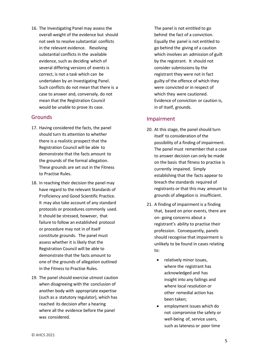16. The Investigating Panel may assess the overall weight of the evidence but should not seek to resolve substantial conflicts in the relevant evidence. Resolving substantial conflicts in the available evidence, such as deciding which of several differing versions of events is correct, is not a task which can be undertaken by an Investigating Panel. Such conflicts do not mean that there is a case to answer and, conversely, do not mean that the Registration Council would be unable to prove its case.

#### <span id="page-4-0"></span>Grounds

- 17. Having considered the facts, the panel should turn its attention to whether there is a realistic prospect that the Registration Council will be able to demonstrate that the facts amount to the grounds of the formal allegation. These grounds are set out in the Fitness to Practise Rules.
- 18. In reaching their decision the panel may have regard to the relevant Standards of Proficiency and Good Scientific Practice. It may also take account of any standard protocols or procedures commonly used. It should be stressed, however, that failure to follow an established protocol or procedure may not in of itself constitute grounds. The panel must assess whether it is likely that the Registration Council will be able to demonstrate that the facts amount to one of the grounds of allegation outlined in the Fitness to Practise Rules.
- 19. The panel should exercise utmost caution when disagreeing with the conclusion of another body with appropriate expertise (such as a statutory regulator), which has reached its decision after a hearing where all the evidence before the panel was considered.

The panel is not entitled to go behind the fact of a conviction. Equally the panel is not entitled to go behind the giving of a caution which involves an admission of guilt by the registrant. It should not consider submissions by the registrant they were not in fact guilty of the offence of which they were convicted or in respect of which they were cautioned. Evidence of conviction or caution is, in of itself, grounds.

## <span id="page-4-1"></span>Impairment

- 20. At this stage, the panel should turn itself to consideration of the possibility of a finding of impairment. The panel must remember that a case to answer decision can only be made on the basis that fitness to practise is currently impaired. Simply establishing that the facts appear to breach the standards required of registrants or that this may amount to grounds of allegation is insufficient.
- 21. A finding of impairment is a finding that, based on prior events, there are on- going concerns about a registrant's ability to practise their profession. Consequently, panels should recognise that impairment is unlikely to be found in cases relating to:
	- relatively minor issues, where the registrant has acknowledged and has insight into any failings and where local resolution or other remedial action has been taken;
	- employment issues which do not compromise the safety or well-being of, service users, such as lateness or poor time